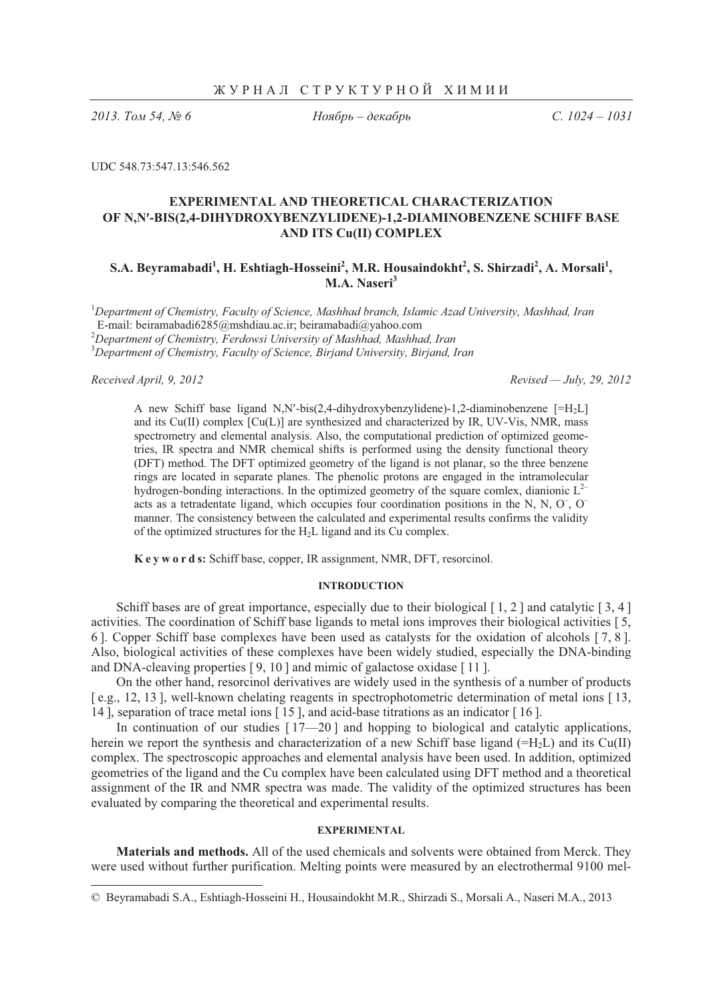*2013. - 54, 6* 

Ноябрь – декабрь

 *. 1024 – 1031*

UDC 548.73:547.13:546.562

# **EXPERIMENTAL AND THEORETICAL CHARACTERIZATION OF N,N**-**-BIS(2,4-DIHYDROXYBENZYLIDENE)-1,2-DIAMINOBENZENE SCHIFF BASE AND ITS Cu(II) COMPLEX**

## $\mathbf{S.A.}\mathbf{Beyramabadi}^{1}, \mathbf{H.}\mathbf{Eshtiagh-Hosseini}^{2}, \mathbf{M.R.}\mathbf{Housaindokht}^{2}, \mathbf{S.}\mathbf{Shirzadi}^{2}, \mathbf{A.}\mathbf{Morsali}^{1},$ **M.A. Naseri<sup>3</sup>**

1 *Department of Chemistry, Faculty of Science, Mashhad branch, Islamic Azad University, Mashhad, Iran* 

 E-mail: beiramabadi6285@mshdiau.ac.ir; beiramabadi@yahoo.com 2 *Department of Chemistry, Ferdowsi University of Mashhad, Mashhad, Iran* <sup>3</sup>

*Department of Chemistry, Faculty of Science, Birjand University, Birjand, Iran* 

.

*Received April, 9, 2012 Revised — July, 29, 2012*

A new Schiff base ligand N,N'-bis(2,4-dihydroxybenzylidene)-1,2-diaminobenzene [=H<sub>2</sub>L] and its  $Cu(II)$  complex  $[Cu(L)]$  are synthesized and characterized by IR, UV-Vis, NMR, mass spectrometry and elemental analysis. Also, the computational prediction of optimized geometries, IR spectra and NMR chemical shifts is performed using the density functional theory (DFT) method. The DFT optimized geometry of the ligand is not planar, so the three benzene rings are located in separate planes. The phenolic protons are engaged in the intramolecular hydrogen-bonding interactions. In the optimized geometry of the square comlex, dianionic  $L^{2-}$ acts as a tetradentate ligand, which occupies four coordination positions in the N, N,  $O^-$ ,  $O^$ manner. The consistency between the calculated and experimental results confirms the validity of the optimized structures for the  $H<sub>2</sub>L$  ligand and its Cu complex.

**K e y w o r d s:** Schiff base, copper, IR assignment, NMR, DFT, resorcinol.

### **INTRODUCTION**

Schiff bases are of great importance, especially due to their biological  $\lceil 1, 2 \rceil$  and catalytic  $\lceil 3, 4 \rceil$ activities. The coordination of Schiff base ligands to metal ions improves their biological activities [ 5, 6 ]. Copper Schiff base complexes have been used as catalysts for the oxidation of alcohols [ 7, 8 ]. Also, biological activities of these complexes have been widely studied, especially the DNA-binding and DNA-cleaving properties [ 9, 10 ] and mimic of galactose oxidase [ 11 ].

On the other hand, resorcinol derivatives are widely used in the synthesis of a number of products [ e.g., 12, 13 ], well-known chelating reagents in spectrophotometric determination of metal ions [ 13, 14 ], separation of trace metal ions [ 15 ], and acid-base titrations as an indicator [ 16 ].

In continuation of our studies  $[17{\text{\textendash}}-20]$  and hopping to biological and catalytic applications, herein we report the synthesis and characterization of a new Schiff base ligand ( $=H<sub>2</sub>L$ ) and its Cu(II) complex. The spectroscopic approaches and elemental analysis have been used. In addition, optimized geometries of the ligand and the Cu complex have been calculated using DFT method and a theoretical assignment of the IR and NMR spectra was made. The validity of the optimized structures has been evaluated by comparing the theoretical and experimental results.

#### **EXPERIMENTAL**

**Materials and methods.** All of the used chemicals and solvents were obtained from Merck. They were used without further purification. Melting points were measured by an electrothermal 9100 mel-

<sup>©</sup> Beyramabadi S.A., Eshtiagh-Hosseini H., Housaindokht M.R., Shirzadi S., Morsali A., Naseri M.A., 2013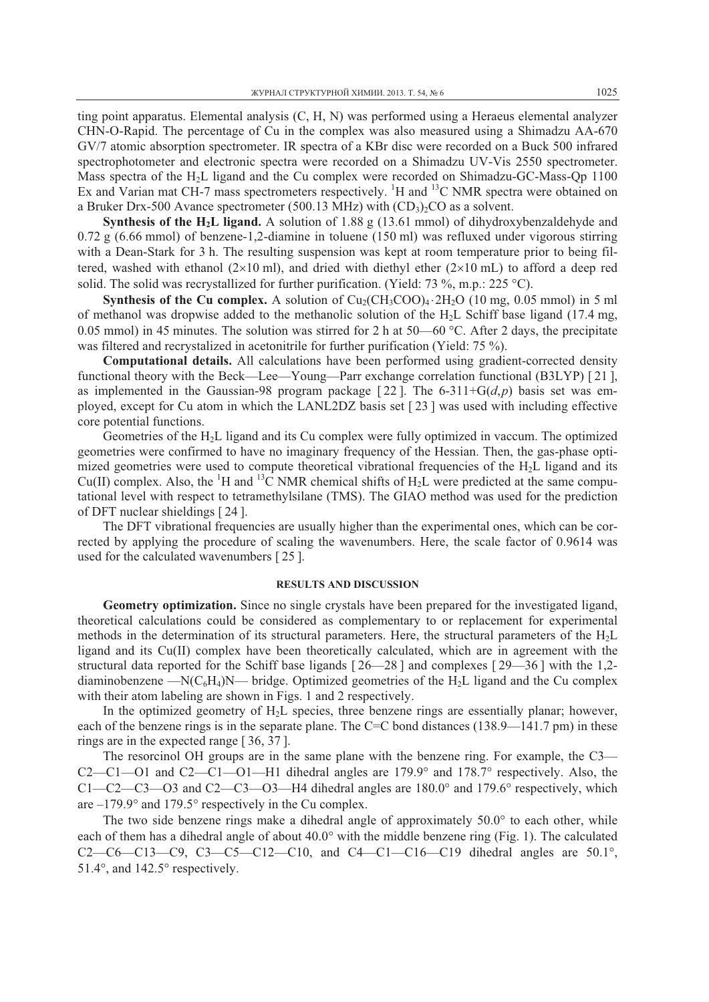ting point apparatus. Elemental analysis (C, H, N) was performed using a Heraeus elemental analyzer CHN-O-Rapid. The percentage of Cu in the complex was also measured using a Shimadzu AA-670 GV/7 atomic absorption spectrometer. IR spectra of a KBr disc were recorded on a Buck 500 infrared spectrophotometer and electronic spectra were recorded on a Shimadzu UV-Vis 2550 spectrometer. Mass spectra of the H<sub>2</sub>L ligand and the Cu complex were recorded on Shimadzu-GC-Mass-Qp 1100 Ex and Varian mat CH-7 mass spectrometers respectively. <sup>1</sup>H and <sup>13</sup>C NMR spectra were obtained on a Bruker Drx-500 Avance spectrometer (500.13 MHz) with  $(CD_3)_2CO$  as a solvent.

**Synthesis of the H2L ligand.** A solution of 1.88 g (13.61 mmol) of dihydroxybenzaldehyde and 0.72 g (6.66 mmol) of benzene-1,2-diamine in toluene (150 ml) was refluxed under vigorous stirring with a Dean-Stark for 3 h. The resulting suspension was kept at room temperature prior to being filtered, washed with ethanol  $(2\times10 \text{ ml})$ , and dried with diethyl ether  $(2\times10 \text{ ml})$  to afford a deep red solid. The solid was recrystallized for further purification. (Yield: 73 %, m.p.: 225 °C).

**Synthesis of the Cu complex.** A solution of  $Cu_2(CH_3COO)_4 \cdot 2H_2O$  (10 mg, 0.05 mmol) in 5 ml of methanol was dropwise added to the methanolic solution of the H<sub>2</sub>L Schiff base ligand (17.4 mg, 0.05 mmol) in 45 minutes. The solution was stirred for 2 h at 50—60 °C. After 2 days, the precipitate was filtered and recrystalized in acetonitrile for further purification (Yield: 75 %).

**Computational details.** All calculations have been performed using gradient-corrected density functional theory with the Beck—Lee—Young—Parr exchange correlation functional (B3LYP) [ 21 ], as implemented in the Gaussian-98 program package [22]. The 6-311+ $G(d,p)$  basis set was employed, except for Cu atom in which the LANL2DZ basis set [ 23 ] was used with including effective core potential functions.

Geometries of the H2L ligand and its Cu complex were fully optimized in vaccum. The optimized geometries were confirmed to have no imaginary frequency of the Hessian. Then, the gas-phase optimized geometries were used to compute theoretical vibrational frequencies of the  $H<sub>2</sub>L$  ligand and its Cu(II) complex. Also, the <sup>1</sup>H and <sup>13</sup>C NMR chemical shifts of H<sub>2</sub>L were predicted at the same computational level with respect to tetramethylsilane (TMS). The GIAO method was used for the prediction of DFT nuclear shieldings [ 24 ].

The DFT vibrational frequencies are usually higher than the experimental ones, which can be corrected by applying the procedure of scaling the wavenumbers. Here, the scale factor of 0.9614 was used for the calculated wavenumbers [ 25 ].

### **RESULTS AND DISCUSSION**

**Geometry optimization.** Since no single crystals have been prepared for the investigated ligand, theoretical calculations could be considered as complementary to or replacement for experimental methods in the determination of its structural parameters. Here, the structural parameters of the  $H<sub>2</sub>L$ ligand and its Cu(II) complex have been theoretically calculated, which are in agreement with the structural data reported for the Schiff base ligands  $\lceil 26 - 28 \rceil$  and complexes  $\lceil 29 - 36 \rceil$  with the 1,2diaminobenzene —N( $C_6H_4$ )N— bridge. Optimized geometries of the H<sub>2</sub>L ligand and the Cu complex with their atom labeling are shown in Figs. 1 and 2 respectively.

In the optimized geometry of  $H<sub>2</sub>L$  species, three benzene rings are essentially planar; however, each of the benzene rings is in the separate plane. The C=C bond distances (138.9—141.7 pm) in these rings are in the expected range [ 36, 37 ].

The resorcinol OH groups are in the same plane with the benzene ring. For example, the C3— C2—C1—O1 and C2—C1—O1—H1 dihedral angles are  $179.9^{\circ}$  and  $178.7^{\circ}$  respectively. Also, the  $C1 - C2 - C3 - 03$  and  $C2 - C3 - 03 - H4$  dihedral angles are 180.0 $\degree$  and 179.6 $\degree$  respectively, which are  $-179.9^{\circ}$  and 179.5° respectively in the Cu complex.

The two side benzene rings make a dihedral angle of approximately  $50.0^\circ$  to each other, while each of them has a dihedral angle of about  $40.0^{\circ}$  with the middle benzene ring (Fig. 1). The calculated  $C2-C6-C13-C9$ ,  $C3-C5-C12-C10$ , and  $C4-C1-C16-C19$  dihedral angles are  $50.1^{\circ}$ , 51.4 $^{\circ}$ , and 142.5 $^{\circ}$  respectively.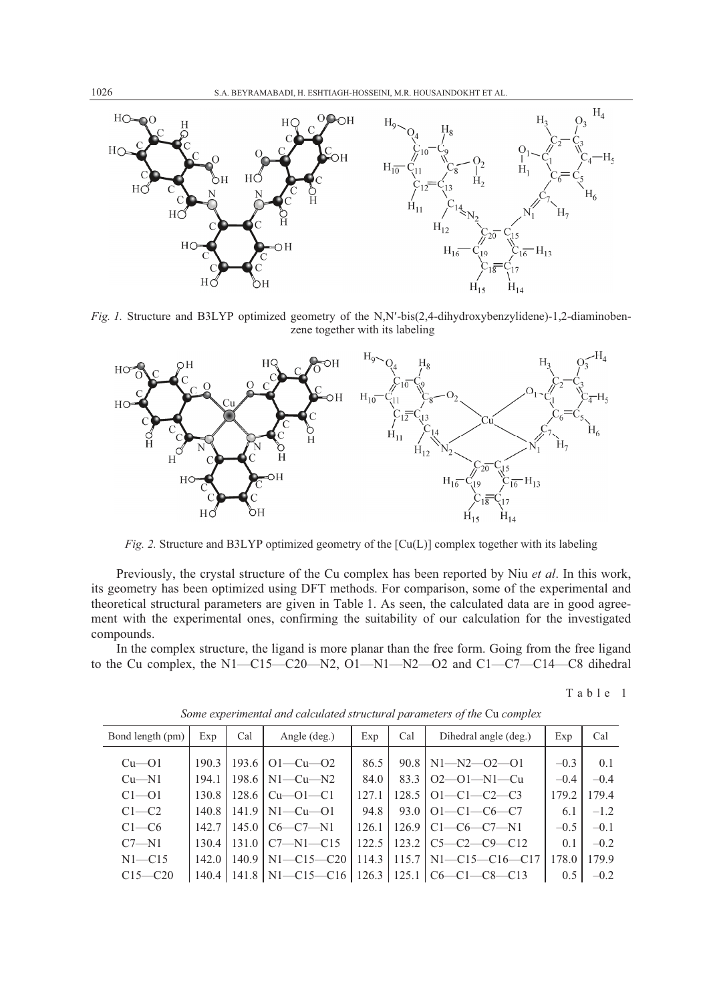

Fig. 1. Structure and B3LYP optimized geometry of the N,N'-bis(2,4-dihydroxybenzylidene)-1,2-diaminobenzene together with its labeling



*Fig. 2.* Structure and B3LYP optimized geometry of the [Cu(L)] complex together with its labeling

Previously, the crystal structure of the Cu complex has been reported by Niu *et al*. In this work, its geometry has been optimized using DFT methods. For comparison, some of the experimental and theoretical structural parameters are given in Table 1. As seen, the calculated data are in good agreement with the experimental ones, confirming the suitability of our calculation for the investigated compounds.

In the complex structure, the ligand is more planar than the free form. Going from the free ligand to the Cu complex, the N1-C15-C20-N2, O1-N1-N2-O2 and C1-C7-C14-C8 dihedral

Table 1

| Bond length (pm) | Exp   | Cal   | Angle (deg.)                              | Exp    | Cal   | Dihedral angle (deg.)  | Exp           | Cal    |
|------------------|-------|-------|-------------------------------------------|--------|-------|------------------------|---------------|--------|
|                  |       |       |                                           |        |       |                        |               |        |
| $Cu$ — $O1$      | 190.3 |       | 193.6   $O1 - Cu - O2$                    | 86.5   | 90.8  | $N1 - N2 - 02 - 01$    | $-0.3$        | 0.1    |
| $Cu - N1$        | 194.1 |       | 198.6   N1—Cu—N2                          | 84.0   | 83.3  | $O2 - O1 - N1 - Cu$    | $-0.4$        | $-0.4$ |
| $C1 - 01$        | 130.8 | 128.6 | $Cu$ — $O1$ — $Cl$                        | 12.7.1 | 128.5 | $[O1-C1-C2-C3]$        | 179.2         | 179.4  |
| $C1 - C2$        | 140.8 |       | $141.9$   N1-Cu-O1                        | 94.8   |       | $93.0$   O1-C1-C6-C7   | 6.1           | $-1.2$ |
| $C1 - C6$        | 142.7 |       | $145.0 \mid \text{C6}$ - $\text{C7}$ - N1 | 126.1  | 126.9 | $C1-C6-C7-N1$          | $-0.5$        | $-0.1$ |
| $C7 - N1$        | 130.4 | 131.0 | $C7-M1-C15$                               | 122.5  | 123.2 | $C5-C2-C9-C12$         | 0.1           | $-0.2$ |
| $N1 - C15$       | 142.0 | 140.9 | $N1 - C15 - C20$                          | 114.3  | 115.7 | $N1 - C15 - C16 - C17$ | 178.0         | 179.9  |
| $C15 - C20$      | 140.4 |       | 141.8 N1-C15-C16   126.3                  |        |       | $125.1$ $C6-C1-C8-C13$ | $0.5^{\circ}$ | $-0.2$ |

*Some experimental and calculated structural parameters of the* Cu *complex*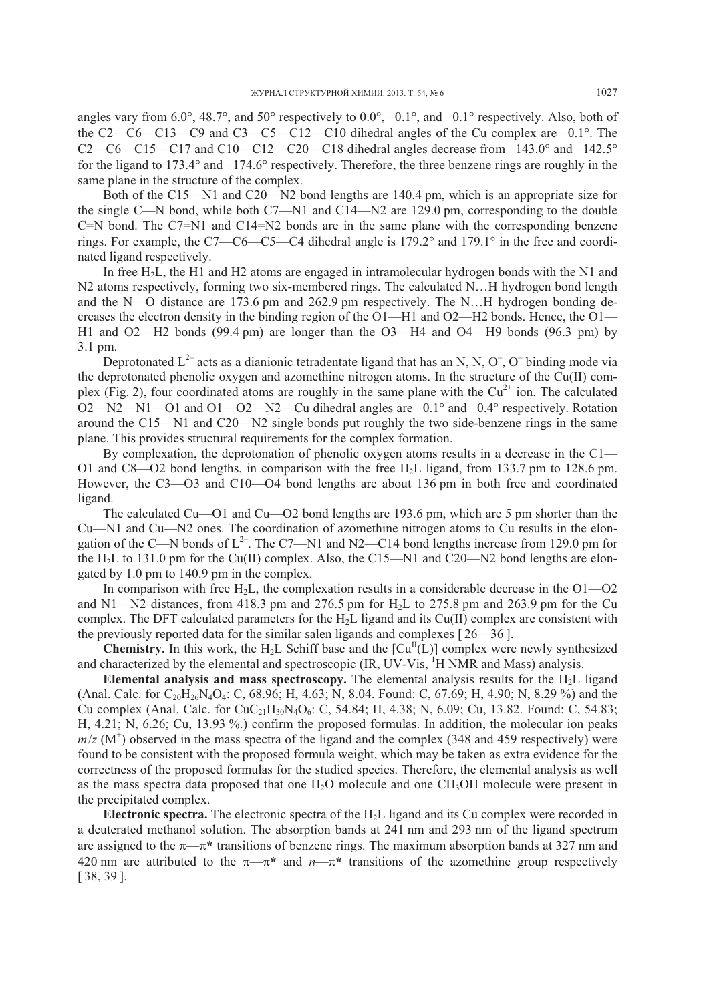angles vary from 6.0°, 48.7°, and 50° respectively to  $0.0^\circ$ ,  $-0.1^\circ$ , and  $-0.1^\circ$  respectively. Also, both of the C2—C6—C13—C9 and C3—C5—C12—C10 dihedral angles of the Cu complex are  $-0.1^{\circ}$ . The C2—C6—C15—C17 and C10—C12—C20—C18 dihedral angles decrease from  $-143.0^\circ$  and  $-142.5^\circ$ for the ligand to 173.4 $\degree$  and  $-174.6\degree$  respectively. Therefore, the three benzene rings are roughly in the same plane in the structure of the complex.

Both of the C15—N1 and C20—N2 bond lengths are 140.4 pm, which is an appropriate size for the single C—N bond, while both C7—N1 and C14—N2 are 129.0 pm, corresponding to the double C=N bond. The C7=N1 and C14=N2 bonds are in the same plane with the corresponding benzene rings. For example, the C7—C6—C5—C4 dihedral angle is  $179.2^\circ$  and  $179.1^\circ$  in the free and coordinated ligand respectively.

In free H<sub>2</sub>L, the H1 and H2 atoms are engaged in intramolecular hydrogen bonds with the N1 and N2 atoms respectively, forming two six-membered rings. The calculated N…H hydrogen bond length and the N—O distance are 173.6 pm and 262.9 pm respectively. The N…H hydrogen bonding decreases the electron density in the binding region of the O1—H1 and O2—H2 bonds. Hence, the O1— H1 and O2—H2 bonds (99.4 pm) are longer than the O3—H4 and O4—H9 bonds (96.3 pm) by 3.1 pm.

Deprotonated  $L^{2-}$  acts as a dianionic tetradentate ligand that has an N, N, O<sup>-</sup>, O<sup>-</sup> binding mode via the deprotonated phenolic oxygen and azomethine nitrogen atoms. In the structure of the Cu(II) complex (Fig. 2), four coordinated atoms are roughly in the same plane with the  $Cu^{2+}$  ion. The calculated O2—N2—N1—O1 and O1—O2—N2—Cu dihedral angles are  $-0.1^\circ$  and  $-0.4^\circ$  respectively. Rotation around the C15—N1 and C20—N2 single bonds put roughly the two side-benzene rings in the same plane. This provides structural requirements for the complex formation.

By complexation, the deprotonation of phenolic oxygen atoms results in a decrease in the  $C1-$ O1 and C8—O2 bond lengths, in comparison with the free  $H<sub>2</sub>L$  ligand, from 133.7 pm to 128.6 pm. However, the C3—O3 and C10—O4 bond lengths are about 136 pm in both free and coordinated ligand.

The calculated Cu—O1 and Cu—O2 bond lengths are 193.6 pm, which are 5 pm shorter than the Cu—N1 and Cu—N2 ones. The coordination of azomethine nitrogen atoms to Cu results in the elongation of the C—N bonds of  $L^{2}$ . The C7—N1 and N2—C14 bond lengths increase from 129.0 pm for the  $H<sub>2</sub>L$  to 131.0 pm for the Cu(II) complex. Also, the C15—N1 and C20—N2 bond lengths are elongated by 1.0 pm to 140.9 pm in the complex.

In comparison with free  $H_2L$ , the complexation results in a considerable decrease in the  $O1-O2$ and N1—N2 distances, from 418.3 pm and 276.5 pm for H<sub>2</sub>L to 275.8 pm and 263.9 pm for the Cu complex. The DFT calculated parameters for the  $H<sub>2</sub>L$  ligand and its Cu(II) complex are consistent with the previously reported data for the similar salen ligands and complexes  $\lceil 26 - 36 \rceil$ .

**Chemistry.** In this work, the H<sub>2</sub>L Schiff base and the  $\lceil Cu^{\text{II}}(L) \rceil$  complex were newly synthesized and characterized by the elemental and spectroscopic  $(IR, UV-Vis, {}^{1}H NMR$  and Mass) analysis.

**Elemental analysis and mass spectroscopy.** The elemental analysis results for the  $H<sub>2</sub>$ L ligand (Anal. Calc. for  $C_{20}H_{26}N_4O_4$ : C, 68.96; H, 4.63; N, 8.04. Found: C, 67.69; H, 4.90; N, 8.29 %) and the Cu complex (Anal. Calc. for  $CuC_{21}H_{30}N_4O_6$ : C, 54.84; H, 4.38; N, 6.09; Cu, 13.82. Found: C, 54.83; H, 4.21; N, 6.26; Cu, 13.93 %.) confirm the proposed formulas. In addition, the molecular ion peaks  $m/z$  (M<sup>+</sup>) observed in the mass spectra of the ligand and the complex (348 and 459 respectively) were found to be consistent with the proposed formula weight, which may be taken as extra evidence for the correctness of the proposed formulas for the studied species. Therefore, the elemental analysis as well as the mass spectra data proposed that one  $H_2O$  molecule and one  $CH_3OH$  molecule were present in the precipitated complex.

**Electronic spectra.** The electronic spectra of the H2L ligand and its Cu complex were recorded in a deuterated methanol solution. The absorption bands at 241 nm and 293 nm of the ligand spectrum are assigned to the  $\pi$ — $\pi$ <sup>\*</sup> transitions of benzene rings. The maximum absorption bands at 327 nm and 420 nm are attributed to the  $\pi-\pi^*$  and  $n-\pi^*$  transitions of the azomethine group respectively [ 38, 39 ].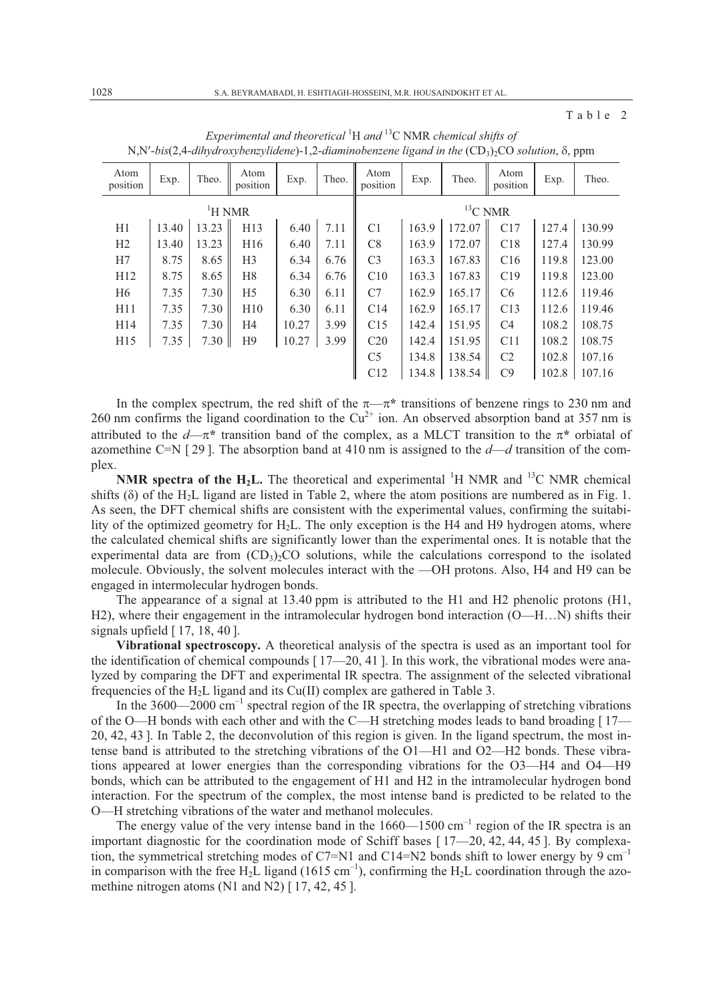Table 2

|                  |                    |       |                  |       |       |                  | $\sim$ |        | <i>- -</i>       |       |        |
|------------------|--------------------|-------|------------------|-------|-------|------------------|--------|--------|------------------|-------|--------|
| Atom<br>position | Exp.               | Theo. | Atom<br>position | Exp.  | Theo. | Atom<br>position | Exp.   | Theo.  | Atom<br>position | Exp.  | Theo.  |
|                  | <sup>1</sup> H NMR |       | ${}^{13}C$ NMR   |       |       |                  |        |        |                  |       |        |
| H1               | 13.40              | 13.23 | H13              | 6.40  | 7.11  | C1               | 163.9  | 172.07 | C17              | 127.4 | 130.99 |
| H2               | 13.40              | 13.23 | H <sub>16</sub>  | 6.40  | 7.11  | C8               | 163.9  | 172.07 | C18              | 127.4 | 130.99 |
| H7               | 8.75               | 8.65  | H <sub>3</sub>   | 6.34  | 6.76  | C <sub>3</sub>   | 163.3  | 167.83 | C16              | 119.8 | 123.00 |
| H12              | 8.75               | 8.65  | H <sub>8</sub>   | 6.34  | 6.76  | C10              | 163.3  | 167.83 | C19              | 119.8 | 123.00 |
| H <sub>6</sub>   | 7.35               | 7.30  | H <sub>5</sub>   | 6.30  | 6.11  | C7               | 162.9  | 165.17 | C <sub>6</sub>   | 112.6 | 119.46 |
| H11              | 7.35               | 7.30  | H10              | 6.30  | 6.11  | C14              | 162.9  | 165.17 | C13              | 112.6 | 119.46 |
| H14              | 7.35               | 7.30  | H <sub>4</sub>   | 10.27 | 3.99  | C15              | 142.4  | 151.95 | C <sub>4</sub>   | 108.2 | 108.75 |
| H15              | 7.35               | 7.30  | H9               | 10.27 | 3.99  | C20              | 142.4  | 151.95 | C11              | 108.2 | 108.75 |
|                  |                    |       |                  |       |       | C <sub>5</sub>   | 134.8  | 138.54 | C <sub>2</sub>   | 102.8 | 107.16 |
|                  |                    |       |                  |       |       | C12              | 134.8  | 138.54 | C9               | 102.8 | 107.16 |
|                  |                    |       |                  |       |       |                  |        |        |                  |       |        |

*Experimental and theoretical* <sup>1</sup> H *and* 13C NMR *chemical shifts of*  N,N'-bis(2,4-dihydroxybenzylidene)-1,2-diaminobenzene ligand in the  $(CD<sub>3</sub>)<sub>2</sub>CO$  solution,  $\delta$ , ppm

In the complex spectrum, the red shift of the  $\pi-\pi^*$  transitions of benzene rings to 230 nm and 260 nm confirms the ligand coordination to the  $Cu^{2+}$  ion. An observed absorption band at 357 nm is attributed to the  $d-\pi^*$  transition band of the complex, as a MLCT transition to the  $\pi^*$  orbiatal of azomethine C=N [ 29 ]. The absorption band at 410 nm is assigned to the *d*—*d* transition of the complex.

**NMR spectra of the H<sub>2</sub>L.** The theoretical and experimental  $^1$ H NMR and  $^1$ <sup>3</sup>C NMR chemical shifts ( $\delta$ ) of the H<sub>2</sub>L ligand are listed in Table 2, where the atom positions are numbered as in Fig. 1. As seen, the DFT chemical shifts are consistent with the experimental values, confirming the suitability of the optimized geometry for H2L. The only exception is the H4 and H9 hydrogen atoms, where the calculated chemical shifts are significantly lower than the experimental ones. It is notable that the experimental data are from  $(CD<sub>3</sub>)<sub>2</sub>CO$  solutions, while the calculations correspond to the isolated molecule. Obviously, the solvent molecules interact with the —OH protons. Also, H4 and H9 can be engaged in intermolecular hydrogen bonds.

The appearance of a signal at 13.40 ppm is attributed to the H1 and H2 phenolic protons (H1, H2), where their engagement in the intramolecular hydrogen bond interaction (O—H…N) shifts their signals upfield  $[17, 18, 40]$ .

**Vibrational spectroscopy.** A theoretical analysis of the spectra is used as an important tool for the identification of chemical compounds  $[17–20, 41]$ . In this work, the vibrational modes were analyzed by comparing the DFT and experimental IR spectra. The assignment of the selected vibrational frequencies of the  $H_2L$  ligand and its Cu(II) complex are gathered in Table 3.

In the  $3600-2000$  cm<sup>-1</sup> spectral region of the IR spectra, the overlapping of stretching vibrations of the O—H bonds with each other and with the C—H stretching modes leads to band broading [ 17— 20, 42, 43 ]. In Table 2, the deconvolution of this region is given. In the ligand spectrum, the most intense band is attributed to the stretching vibrations of the O1—H1 and O2—H2 bonds. These vibrations appeared at lower energies than the corresponding vibrations for the O3—H4 and O4—H9 bonds, which can be attributed to the engagement of H1 and H2 in the intramolecular hydrogen bond interaction. For the spectrum of the complex, the most intense band is predicted to be related to the O—H stretching vibrations of the water and methanol molecules.

The energy value of the very intense band in the  $1660-1500$  cm<sup>-1</sup> region of the IR spectra is an important diagnostic for the coordination mode of Schiff bases  $[17-20, 42, 44, 45]$ . By complexation, the symmetrical stretching modes of C7=N1 and C14=N2 bonds shift to lower energy by 9 cm<sup>-1</sup> in comparison with the free H<sub>2</sub>L ligand (1615 cm<sup>-1</sup>), confirming the H<sub>2</sub>L coordination through the azomethine nitrogen atoms (N1 and N2) [17, 42, 45].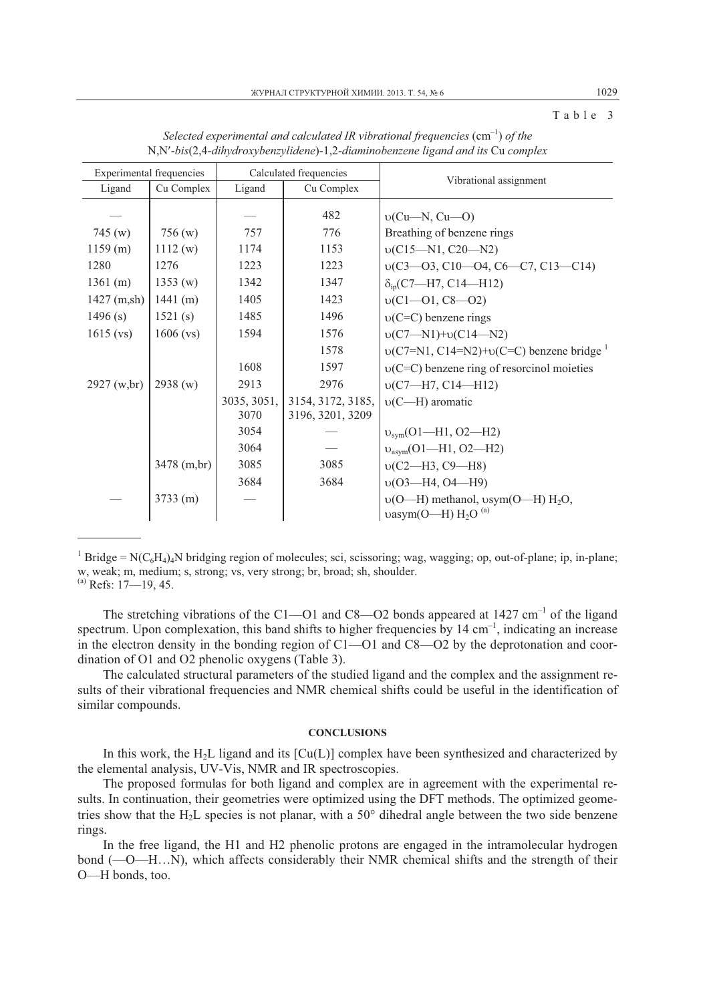Table 3

| <b>Experimental frequencies</b> |                      |                     | Calculated frequencies                | Vibrational assignment                                                    |  |  |  |  |
|---------------------------------|----------------------|---------------------|---------------------------------------|---------------------------------------------------------------------------|--|--|--|--|
| Ligand                          | Cu Complex<br>Ligand |                     | Cu Complex                            |                                                                           |  |  |  |  |
|                                 |                      |                     | 482                                   | $v(Cu-N, Cu-O)$                                                           |  |  |  |  |
| 745(w)                          | 756(w)               | 757                 | 776                                   | Breathing of benzene rings                                                |  |  |  |  |
| 1159(m)                         | 1112(w)              | 1174                | 1153                                  | $v(C15-M1, C20-M2)$                                                       |  |  |  |  |
| 1280                            | 1276                 | 1223                | 1223                                  | $v(C3-03, C10-04, C6-C7, C13-C14)$                                        |  |  |  |  |
| 1361 (m)                        | 1353(w)              | 1342                | 1347                                  | $\delta_{\rm in}$ (C7—H7, C14—H12)                                        |  |  |  |  |
| $1427$ (m,sh)                   | 1441(m)              | 1405                | 1423                                  | $v(C1-01, C8-02)$                                                         |  |  |  |  |
| 1496(s)                         | 1521(s)              | 1485                | 1496                                  | $v(C=C)$ benzene rings                                                    |  |  |  |  |
| $1615$ (vs)                     | $1606$ (vs)          | 1594                | 1576                                  | $v(C7 - N1) + v(C14 - N2)$                                                |  |  |  |  |
|                                 |                      |                     | 1578                                  | $\upsilon$ (C7=N1, C14=N2)+ $\upsilon$ (C=C) benzene bridge $\frac{1}{2}$ |  |  |  |  |
|                                 |                      | 1608                | 1597                                  | $v(C=C)$ benzene ring of resorcinol moieties                              |  |  |  |  |
| 2927 (w, br)                    | 2938(w)              | 2913                | 2976                                  | $v(C7-H7, C14-H12)$                                                       |  |  |  |  |
|                                 |                      | 3035, 3051,<br>3070 | 3154, 3172, 3185,<br>3196, 3201, 3209 | $v(C-H)$ aromatic                                                         |  |  |  |  |
|                                 |                      | 3054                |                                       | $v_{sym}(O1 - H1, O2 - H2)$                                               |  |  |  |  |
|                                 |                      | 3064                |                                       | $v_{asym}$ (O1-H1, O2-H2)                                                 |  |  |  |  |
|                                 | 3478 (m,br)          | 3085                | 3085                                  | $v(C2-H3, C9-H8)$                                                         |  |  |  |  |
|                                 |                      | 3684                | 3684                                  | $v(03 - H4, 04 - H9)$                                                     |  |  |  |  |
|                                 | 3733(m)              |                     |                                       | $v(O-H)$ methanol, $vsym(O-H) H2O$ ,<br>vasym(O—H) $H_2O^{(a)}$           |  |  |  |  |

*Selected experimental and calculated IR vibrational frequencies* (cm<sup>-1</sup>) *of the* N,N--*bis*(2,4-*dihydroxybenzylidene*)-1,2-*diaminobenzene ligand and its* Cu *complex*

The stretching vibrations of the C1—O1 and C8—O2 bonds appeared at  $1427 \text{ cm}^{-1}$  of the ligand spectrum. Upon complexation, this band shifts to higher frequencies by  $14 \text{ cm}^{-1}$ , indicating an increase in the electron density in the bonding region of  $C1$ — $O1$  and  $C8$ — $O2$  by the deprotonation and coordination of O1 and O2 phenolic oxygens (Table 3).

The calculated structural parameters of the studied ligand and the complex and the assignment results of their vibrational frequencies and NMR chemical shifts could be useful in the identification of similar compounds.

#### **CONCLUSIONS**

In this work, the H<sub>2</sub>L ligand and its  $[Cu(L)]$  complex have been synthesized and characterized by the elemental analysis, UV-Vis, NMR and IR spectroscopies.

The proposed formulas for both ligand and complex are in agreement with the experimental results. In continuation, their geometries were optimized using the DFT methods. The optimized geometries show that the H<sub>2</sub>L species is not planar, with a  $50^{\circ}$  dihedral angle between the two side benzene rings.

In the free ligand, the H1 and H2 phenolic protons are engaged in the intramolecular hydrogen bond (—O—H…N), which affects considerably their NMR chemical shifts and the strength of their O—H bonds, too.

<sup>&</sup>lt;sup>1</sup> Bridge = N(C<sub>6</sub>H<sub>4</sub>)<sub>4</sub>N bridging region of molecules; sci, scissoring; wag, wagging; op, out-of-plane; ip, in-plane; w, weak; m, medium; s, strong; vs, very strong; br, broad; sh, shoulder.  $^{(a)}$  Refs: 17-19, 45.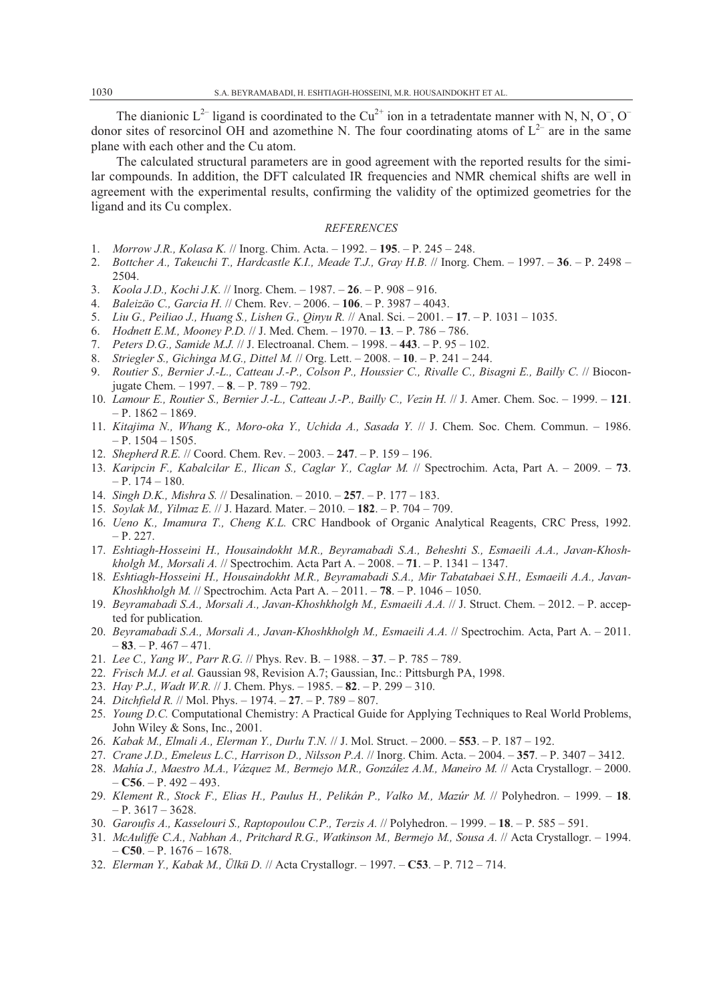The dianionic  $L^{2-}$  ligand is coordinated to the Cu<sup>2+</sup> ion in a tetradentate manner with N, N, O<sup>-</sup>, O<sup>-</sup> donor sites of resorcinol OH and azomethine N. The four coordinating atoms of  $L^{2-}$  are in the same plane with each other and the Cu atom.

The calculated structural parameters are in good agreement with the reported results for the similar compounds. In addition, the DFT calculated IR frequencies and NMR chemical shifts are well in agreement with the experimental results, confirming the validity of the optimized geometries for the ligand and its Cu complex.

### *REFERENCES*

- 1. *Morrow J.R., Kolasa K.* // Inorg. Chim. Acta. 1992. **195**. P. 245 248.
- 2. *Bottcher A., Takeuchi T., Hardcastle K.I., Meade T.J., Gray H.B.* // Inorg. Chem. 1997. **36**. P. 2498 2504.
- 3. *Koola J.D., Kochi J.K.* // Inorg. Chem. 1987. **26**. P. 908 916.
- 4. *Baleizäo C., Garcia H.* // Chem. Rev. 2006. **106**. P. 3987 4043.
- 5. *Liu G., Peiliao J., Huang S., Lishen G., Qinyu R.* // Anal. Sci. 2001. **17**. P. 1031 1035.
- 6. *Hodnett E.M., Mooney P.D.* // J. Med. Chem. 1970. **13**. P. 786 786.
- 7. *Peters D.G., Samide M.J.* // J. Electroanal. Chem. 1998. **443**. P. 95 102.
- 8. *Striegler S., Gichinga M.G., Dittel M.* // Org. Lett. 2008. **10**. P. 241 244.
- 9. *Routier S., Bernier J.-L., Catteau J.-P., Colson P., Houssier C., Rivalle C., Bisagni E., Bailly C.* // Bioconjugate Chem. – 1997. – **8**. – P. 789 – 792.
- 10. *Lamour E., Routier S., Bernier J.-L., Catteau J.-P., Bailly C., Vezin H.* // J. Amer. Chem. Soc. 1999. **121**.  $- P. 1862 - 1869.$
- 11. *Kitajima N., Whang K., Moro-oka Y., Uchida A., Sasada Y.* // J. Chem. Soc. Chem. Commun. 1986. – P. 1504 – 1505.
- 12. *Shepherd R.E.* // Coord. Chem. Rev. 2003. **247**. P. 159 196.
- 13. *Karipcin F., Kabalcilar E., Ilican S., Caglar Y., Caglar M.* // Spectrochim. Acta, Part A. 2009. **73**.  $- P. 174 - 180.$
- 14. *Singh D.K., Mishra S.* // Desalination. 2010. **257**. P. 177 183.
- 15. *Soylak M., Yilmaz E.* // J. Hazard. Mater. 2010. **182**. P. 704 709.
- 16. *Ueno K., Imamura T., Cheng K.L.* CRC Handbook of Organic Analytical Reagents, CRC Press, 1992. – P. 227.
- 17. *Eshtiagh-Hosseini H., Housaindokht M.R., Beyramabadi S.A., Beheshti S., Esmaeili A.A., Javan-Khoshkholgh M., Morsali A.* // Spectrochim. Acta Part A. – 2008. – **71**. – P. 1341 – 1347.
- 18. *Eshtiagh-Hosseini H., Housaindokht M.R., Beyramabadi S.A., Mir Tabatabaei S.H., Esmaeili A.A., Javan-Khoshkholgh M.* // Spectrochim. Acta Part A. – 2011. – **78**. – P. 1046 – 1050.
- 19. *Beyramabadi S.A., Morsali A., Javan-Khoshkholgh M., Esmaeili A.A.* // J. Struct. Chem. 2012. P. accepted for publication*.*
- 20. *Beyramabadi S.A., Morsali A., Javan-Khoshkholgh M., Esmaeili A.A.* // Spectrochim. Acta, Part A. 2011. – **83**. – P. 467 – 471*.*
- 21. *Lee C., Yang W., Parr R.G.* // Phys. Rev. B. 1988. **37**. P. 785 789.
- 22. *Frisch M.J. et al.* Gaussian 98, Revision A.7; Gaussian, Inc.: Pittsburgh PA, 1998.
- 23. *Hay P.J., Wadt W.R.* // J. Chem. Phys. 1985. **82**. P. 299 310.
- 24. *Ditchfield R.* // Mol. Phys. 1974. **27**. P. 789 807.
- 25. *Young D.C.* Computational Chemistry: A Practical Guide for Applying Techniques to Real World Problems, John Wiley & Sons, Inc., 2001.
- 26. *Kabak M., Elmali A., Elerman Y., Durlu T.N.* // J. Mol. Struct. 2000. **553**. P. 187 192.
- 27. *Crane J.D., Emeleus L.C., Harrison D., Nilsson P.A.* // Inorg. Chim. Acta. 2004. **357**. P. 3407 3412.
- 28. *Mahía J., Maestro M.A., Vázquez M., Bermejo M.R., González A.M., Maneiro M.* // Acta Crystallogr. 2000.  $-$  **C56**. – P. 492 – 493.
- 29. *Klement R., Stock F., Elias H., Paulus H., Pelikán P., Valko M., Mazúr M.* // Polyhedron. 1999. **18**.  $- P. 3617 - 3628.$
- 30. *Garoufis A., Kasselouri S., Raptopoulou C.P., Terzis A.* // Polyhedron. 1999. **18**. P. 585 591.
- 31. *McAuliffe C.A., Nabhan A., Pritchard R.G., Watkinson M., Bermejo M., Sousa A.* // Acta Crystallogr. 1994. – **C50**. – P. 1676 – 1678.
- 32. *Elerman Y., Kabak M., Ülkü D.* // Acta Crystallogr. 1997. **C53**. P. 712 714.